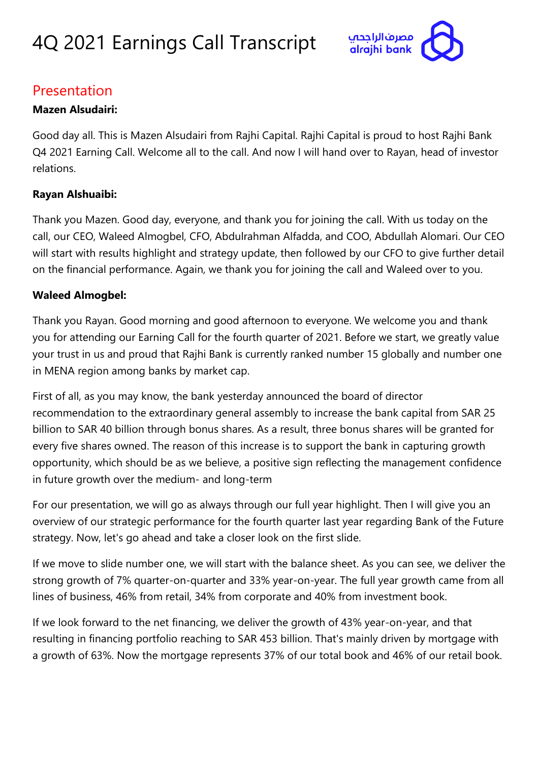

### Presentation

#### **Mazen Alsudairi:**

Good day all. This is Mazen Alsudairi from Rajhi Capital. Rajhi Capital is proud to host Rajhi Bank Q4 2021 Earning Call. Welcome all to the call. And now I will hand over to Rayan, head of investor relations.

#### **Rayan Alshuaibi:**

Thank you Mazen. Good day, everyone, and thank you for joining the call. With us today on the call, our CEO, Waleed Almogbel, CFO, Abdulrahman Alfadda, and COO, Abdullah Alomari. Our CEO will start with results highlight and strategy update, then followed by our CFO to give further detail on the financial performance. Again, we thank you for joining the call and Waleed over to you.

#### **Waleed Almogbel:**

Thank you Rayan. Good morning and good afternoon to everyone. We welcome you and thank you for attending our Earning Call for the fourth quarter of 2021. Before we start, we greatly value your trust in us and proud that Rajhi Bank is currently ranked number 15 globally and number one in MENA region among banks by market cap.

First of all, as you may know, the bank yesterday announced the board of director recommendation to the extraordinary general assembly to increase the bank capital from SAR 25 billion to SAR 40 billion through bonus shares. As a result, three bonus shares will be granted for every five shares owned. The reason of this increase is to support the bank in capturing growth opportunity, which should be as we believe, a positive sign reflecting the management confidence in future growth over the medium- and long-term

For our presentation, we will go as always through our full year highlight. Then I will give you an overview of our strategic performance for the fourth quarter last year regarding Bank of the Future strategy. Now, let's go ahead and take a closer look on the first slide.

If we move to slide number one, we will start with the balance sheet. As you can see, we deliver the strong growth of 7% quarter-on-quarter and 33% year-on-year. The full year growth came from all lines of business, 46% from retail, 34% from corporate and 40% from investment book.

If we look forward to the net financing, we deliver the growth of 43% year-on-year, and that resulting in financing portfolio reaching to SAR 453 billion. That's mainly driven by mortgage with a growth of 63%. Now the mortgage represents 37% of our total book and 46% of our retail book.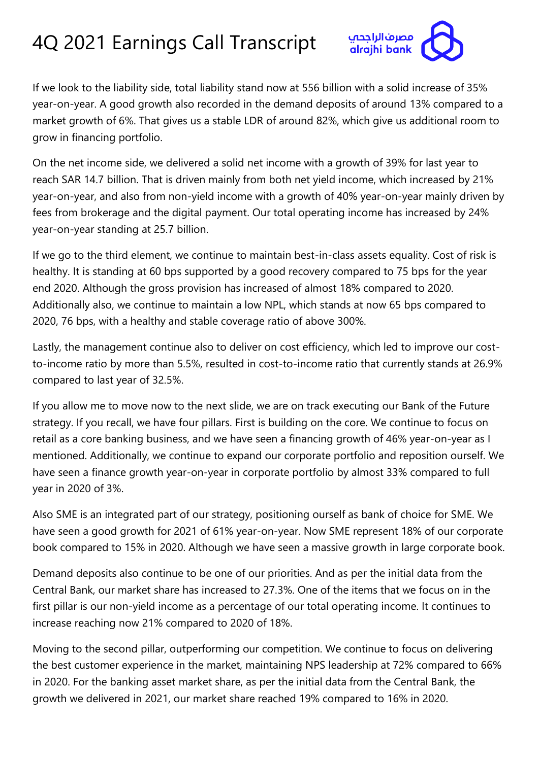

If we look to the liability side, total liability stand now at 556 billion with a solid increase of 35% year-on-year. A good growth also recorded in the demand deposits of around 13% compared to a market growth of 6%. That gives us a stable LDR of around 82%, which give us additional room to grow in financing portfolio.

On the net income side, we delivered a solid net income with a growth of 39% for last year to reach SAR 14.7 billion. That is driven mainly from both net yield income, which increased by 21% year-on-year, and also from non-yield income with a growth of 40% year-on-year mainly driven by fees from brokerage and the digital payment. Our total operating income has increased by 24% year-on-year standing at 25.7 billion.

If we go to the third element, we continue to maintain best-in-class assets equality. Cost of risk is healthy. It is standing at 60 bps supported by a good recovery compared to 75 bps for the year end 2020. Although the gross provision has increased of almost 18% compared to 2020. Additionally also, we continue to maintain a low NPL, which stands at now 65 bps compared to 2020, 76 bps, with a healthy and stable coverage ratio of above 300%.

Lastly, the management continue also to deliver on cost efficiency, which led to improve our costto-income ratio by more than 5.5%, resulted in cost-to-income ratio that currently stands at 26.9% compared to last year of 32.5%.

If you allow me to move now to the next slide, we are on track executing our Bank of the Future strategy. If you recall, we have four pillars. First is building on the core. We continue to focus on retail as a core banking business, and we have seen a financing growth of 46% year-on-year as I mentioned. Additionally, we continue to expand our corporate portfolio and reposition ourself. We have seen a finance growth year-on-year in corporate portfolio by almost 33% compared to full year in 2020 of 3%.

Also SME is an integrated part of our strategy, positioning ourself as bank of choice for SME. We have seen a good growth for 2021 of 61% year-on-year. Now SME represent 18% of our corporate book compared to 15% in 2020. Although we have seen a massive growth in large corporate book.

Demand deposits also continue to be one of our priorities. And as per the initial data from the Central Bank, our market share has increased to 27.3%. One of the items that we focus on in the first pillar is our non-yield income as a percentage of our total operating income. It continues to increase reaching now 21% compared to 2020 of 18%.

Moving to the second pillar, outperforming our competition. We continue to focus on delivering the best customer experience in the market, maintaining NPS leadership at 72% compared to 66% in 2020. For the banking asset market share, as per the initial data from the Central Bank, the growth we delivered in 2021, our market share reached 19% compared to 16% in 2020.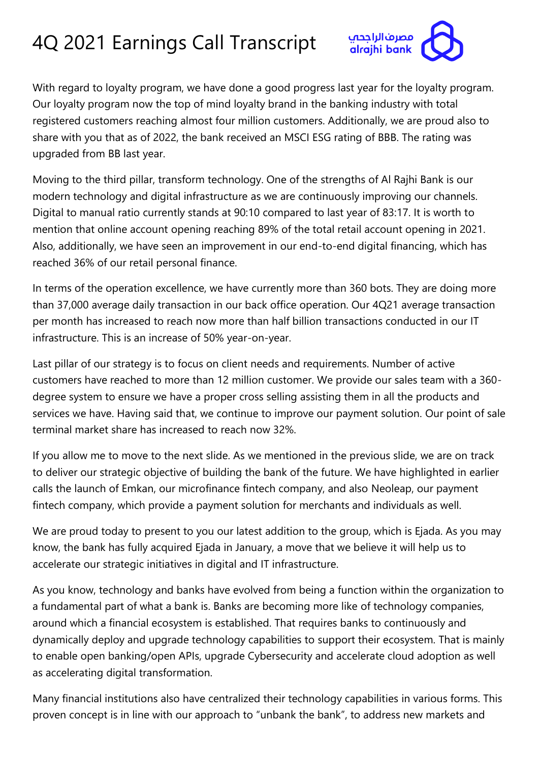

With regard to loyalty program, we have done a good progress last year for the loyalty program. Our loyalty program now the top of mind loyalty brand in the banking industry with total registered customers reaching almost four million customers. Additionally, we are proud also to share with you that as of 2022, the bank received an MSCI ESG rating of BBB. The rating was upgraded from BB last year.

Moving to the third pillar, transform technology. One of the strengths of Al Rajhi Bank is our modern technology and digital infrastructure as we are continuously improving our channels. Digital to manual ratio currently stands at 90:10 compared to last year of 83:17. It is worth to mention that online account opening reaching 89% of the total retail account opening in 2021. Also, additionally, we have seen an improvement in our end-to-end digital financing, which has reached 36% of our retail personal finance.

In terms of the operation excellence, we have currently more than 360 bots. They are doing more than 37,000 average daily transaction in our back office operation. Our 4Q21 average transaction per month has increased to reach now more than half billion transactions conducted in our IT infrastructure. This is an increase of 50% year-on-year.

Last pillar of our strategy is to focus on client needs and requirements. Number of active customers have reached to more than 12 million customer. We provide our sales team with a 360 degree system to ensure we have a proper cross selling assisting them in all the products and services we have. Having said that, we continue to improve our payment solution. Our point of sale terminal market share has increased to reach now 32%.

If you allow me to move to the next slide. As we mentioned in the previous slide, we are on track to deliver our strategic objective of building the bank of the future. We have highlighted in earlier calls the launch of Emkan, our microfinance fintech company, and also Neoleap, our payment fintech company, which provide a payment solution for merchants and individuals as well.

We are proud today to present to you our latest addition to the group, which is Ejada. As you may know, the bank has fully acquired Ejada in January, a move that we believe it will help us to accelerate our strategic initiatives in digital and IT infrastructure.

As you know, technology and banks have evolved from being a function within the organization to a fundamental part of what a bank is. Banks are becoming more like of technology companies, around which a financial ecosystem is established. That requires banks to continuously and dynamically deploy and upgrade technology capabilities to support their ecosystem. That is mainly to enable open banking/open APIs, upgrade Cybersecurity and accelerate cloud adoption as well as accelerating digital transformation.

Many financial institutions also have centralized their technology capabilities in various forms. This proven concept is in line with our approach to "unbank the bank", to address new markets and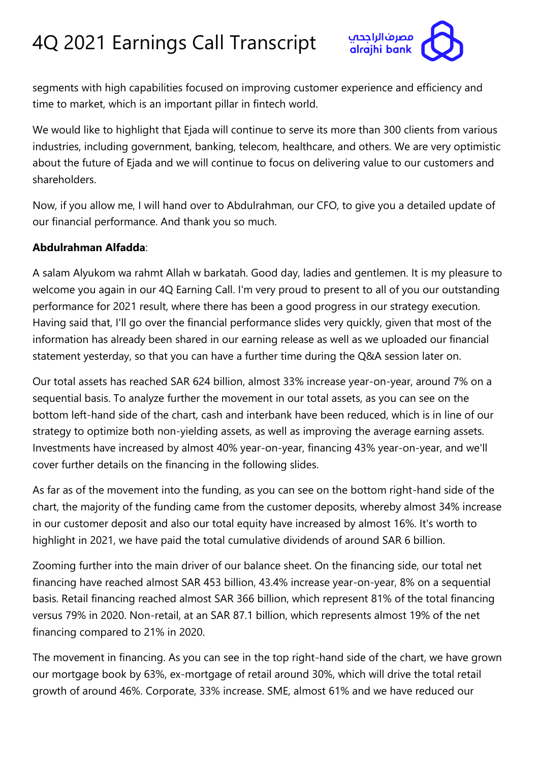

segments with high capabilities focused on improving customer experience and efficiency and time to market, which is an important pillar in fintech world.

We would like to highlight that Ejada will continue to serve its more than 300 clients from various industries, including government, banking, telecom, healthcare, and others. We are very optimistic about the future of Ejada and we will continue to focus on delivering value to our customers and shareholders.

Now, if you allow me, I will hand over to Abdulrahman, our CFO, to give you a detailed update of our financial performance. And thank you so much.

#### **Abdulrahman Alfadda**:

A salam Alyukom wa rahmt Allah w barkatah. Good day, ladies and gentlemen. It is my pleasure to welcome you again in our 4Q Earning Call. I'm very proud to present to all of you our outstanding performance for 2021 result, where there has been a good progress in our strategy execution. Having said that, I'll go over the financial performance slides very quickly, given that most of the information has already been shared in our earning release as well as we uploaded our financial statement yesterday, so that you can have a further time during the Q&A session later on.

Our total assets has reached SAR 624 billion, almost 33% increase year-on-year, around 7% on a sequential basis. To analyze further the movement in our total assets, as you can see on the bottom left-hand side of the chart, cash and interbank have been reduced, which is in line of our strategy to optimize both non-yielding assets, as well as improving the average earning assets. Investments have increased by almost 40% year-on-year, financing 43% year-on-year, and we'll cover further details on the financing in the following slides.

As far as of the movement into the funding, as you can see on the bottom right-hand side of the chart, the majority of the funding came from the customer deposits, whereby almost 34% increase in our customer deposit and also our total equity have increased by almost 16%. It's worth to highlight in 2021, we have paid the total cumulative dividends of around SAR 6 billion.

Zooming further into the main driver of our balance sheet. On the financing side, our total net financing have reached almost SAR 453 billion, 43.4% increase year-on-year, 8% on a sequential basis. Retail financing reached almost SAR 366 billion, which represent 81% of the total financing versus 79% in 2020. Non-retail, at an SAR 87.1 billion, which represents almost 19% of the net financing compared to 21% in 2020.

The movement in financing. As you can see in the top right-hand side of the chart, we have grown our mortgage book by 63%, ex-mortgage of retail around 30%, which will drive the total retail growth of around 46%. Corporate, 33% increase. SME, almost 61% and we have reduced our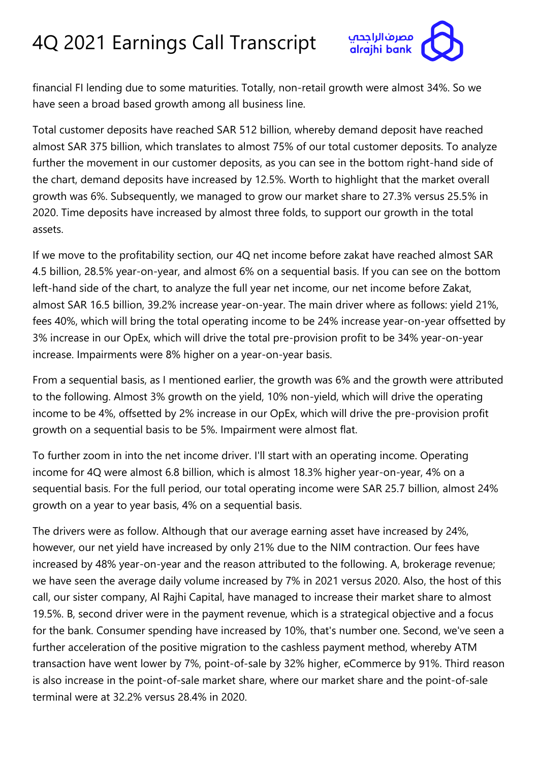

financial FI lending due to some maturities. Totally, non-retail growth were almost 34%. So we have seen a broad based growth among all business line.

Total customer deposits have reached SAR 512 billion, whereby demand deposit have reached almost SAR 375 billion, which translates to almost 75% of our total customer deposits. To analyze further the movement in our customer deposits, as you can see in the bottom right-hand side of the chart, demand deposits have increased by 12.5%. Worth to highlight that the market overall growth was 6%. Subsequently, we managed to grow our market share to 27.3% versus 25.5% in 2020. Time deposits have increased by almost three folds, to support our growth in the total assets.

If we move to the profitability section, our 4Q net income before zakat have reached almost SAR 4.5 billion, 28.5% year-on-year, and almost 6% on a sequential basis. If you can see on the bottom left-hand side of the chart, to analyze the full year net income, our net income before Zakat, almost SAR 16.5 billion, 39.2% increase year-on-year. The main driver where as follows: yield 21%, fees 40%, which will bring the total operating income to be 24% increase year-on-year offsetted by 3% increase in our OpEx, which will drive the total pre-provision profit to be 34% year-on-year increase. Impairments were 8% higher on a year-on-year basis.

From a sequential basis, as I mentioned earlier, the growth was 6% and the growth were attributed to the following. Almost 3% growth on the yield, 10% non-yield, which will drive the operating income to be 4%, offsetted by 2% increase in our OpEx, which will drive the pre-provision profit growth on a sequential basis to be 5%. Impairment were almost flat.

To further zoom in into the net income driver. I'll start with an operating income. Operating income for 4Q were almost 6.8 billion, which is almost 18.3% higher year-on-year, 4% on a sequential basis. For the full period, our total operating income were SAR 25.7 billion, almost 24% growth on a year to year basis, 4% on a sequential basis.

The drivers were as follow. Although that our average earning asset have increased by 24%, however, our net yield have increased by only 21% due to the NIM contraction. Our fees have increased by 48% year-on-year and the reason attributed to the following. A, brokerage revenue; we have seen the average daily volume increased by 7% in 2021 versus 2020. Also, the host of this call, our sister company, Al Rajhi Capital, have managed to increase their market share to almost 19.5%. B, second driver were in the payment revenue, which is a strategical objective and a focus for the bank. Consumer spending have increased by 10%, that's number one. Second, we've seen a further acceleration of the positive migration to the cashless payment method, whereby ATM transaction have went lower by 7%, point-of-sale by 32% higher, eCommerce by 91%. Third reason is also increase in the point-of-sale market share, where our market share and the point-of-sale terminal were at 32.2% versus 28.4% in 2020.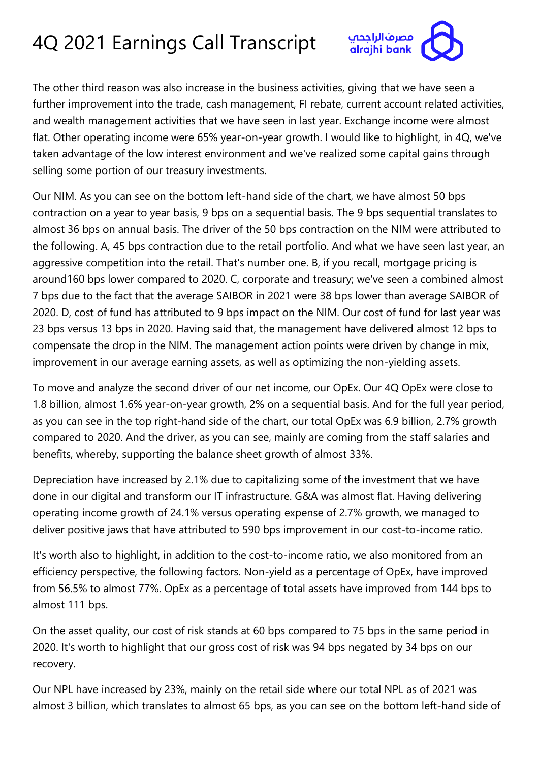

The other third reason was also increase in the business activities, giving that we have seen a further improvement into the trade, cash management, FI rebate, current account related activities, and wealth management activities that we have seen in last year. Exchange income were almost flat. Other operating income were 65% year-on-year growth. I would like to highlight, in 4Q, we've taken advantage of the low interest environment and we've realized some capital gains through selling some portion of our treasury investments.

Our NIM. As you can see on the bottom left-hand side of the chart, we have almost 50 bps contraction on a year to year basis, 9 bps on a sequential basis. The 9 bps sequential translates to almost 36 bps on annual basis. The driver of the 50 bps contraction on the NIM were attributed to the following. A, 45 bps contraction due to the retail portfolio. And what we have seen last year, an aggressive competition into the retail. That's number one. B, if you recall, mortgage pricing is around160 bps lower compared to 2020. C, corporate and treasury; we've seen a combined almost 7 bps due to the fact that the average SAIBOR in 2021 were 38 bps lower than average SAIBOR of 2020. D, cost of fund has attributed to 9 bps impact on the NIM. Our cost of fund for last year was 23 bps versus 13 bps in 2020. Having said that, the management have delivered almost 12 bps to compensate the drop in the NIM. The management action points were driven by change in mix, improvement in our average earning assets, as well as optimizing the non-yielding assets.

To move and analyze the second driver of our net income, our OpEx. Our 4Q OpEx were close to 1.8 billion, almost 1.6% year-on-year growth, 2% on a sequential basis. And for the full year period, as you can see in the top right-hand side of the chart, our total OpEx was 6.9 billion, 2.7% growth compared to 2020. And the driver, as you can see, mainly are coming from the staff salaries and benefits, whereby, supporting the balance sheet growth of almost 33%.

Depreciation have increased by 2.1% due to capitalizing some of the investment that we have done in our digital and transform our IT infrastructure. G&A was almost flat. Having delivering operating income growth of 24.1% versus operating expense of 2.7% growth, we managed to deliver positive jaws that have attributed to 590 bps improvement in our cost-to-income ratio.

It's worth also to highlight, in addition to the cost-to-income ratio, we also monitored from an efficiency perspective, the following factors. Non-yield as a percentage of OpEx, have improved from 56.5% to almost 77%. OpEx as a percentage of total assets have improved from 144 bps to almost 111 bps.

On the asset quality, our cost of risk stands at 60 bps compared to 75 bps in the same period in 2020. It's worth to highlight that our gross cost of risk was 94 bps negated by 34 bps on our recovery.

Our NPL have increased by 23%, mainly on the retail side where our total NPL as of 2021 was almost 3 billion, which translates to almost 65 bps, as you can see on the bottom left-hand side of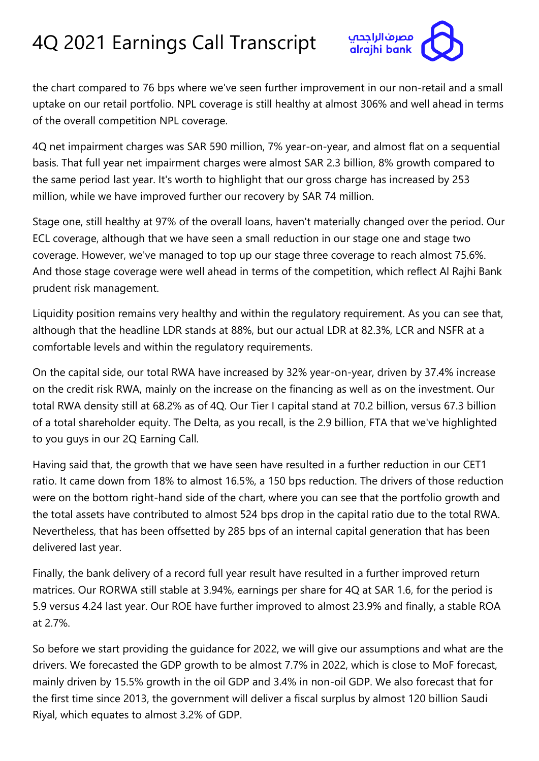

the chart compared to 76 bps where we've seen further improvement in our non-retail and a small uptake on our retail portfolio. NPL coverage is still healthy at almost 306% and well ahead in terms of the overall competition NPL coverage.

4Q net impairment charges was SAR 590 million, 7% year-on-year, and almost flat on a sequential basis. That full year net impairment charges were almost SAR 2.3 billion, 8% growth compared to the same period last year. It's worth to highlight that our gross charge has increased by 253 million, while we have improved further our recovery by SAR 74 million.

Stage one, still healthy at 97% of the overall loans, haven't materially changed over the period. Our ECL coverage, although that we have seen a small reduction in our stage one and stage two coverage. However, we've managed to top up our stage three coverage to reach almost 75.6%. And those stage coverage were well ahead in terms of the competition, which reflect Al Rajhi Bank prudent risk management.

Liquidity position remains very healthy and within the regulatory requirement. As you can see that, although that the headline LDR stands at 88%, but our actual LDR at 82.3%, LCR and NSFR at a comfortable levels and within the regulatory requirements.

On the capital side, our total RWA have increased by 32% year-on-year, driven by 37.4% increase on the credit risk RWA, mainly on the increase on the financing as well as on the investment. Our total RWA density still at 68.2% as of 4Q. Our Tier I capital stand at 70.2 billion, versus 67.3 billion of a total shareholder equity. The Delta, as you recall, is the 2.9 billion, FTA that we've highlighted to you guys in our 2Q Earning Call.

Having said that, the growth that we have seen have resulted in a further reduction in our CET1 ratio. It came down from 18% to almost 16.5%, a 150 bps reduction. The drivers of those reduction were on the bottom right-hand side of the chart, where you can see that the portfolio growth and the total assets have contributed to almost 524 bps drop in the capital ratio due to the total RWA. Nevertheless, that has been offsetted by 285 bps of an internal capital generation that has been delivered last year.

Finally, the bank delivery of a record full year result have resulted in a further improved return matrices. Our RORWA still stable at 3.94%, earnings per share for 4Q at SAR 1.6, for the period is 5.9 versus 4.24 last year. Our ROE have further improved to almost 23.9% and finally, a stable ROA at 2.7%.

So before we start providing the guidance for 2022, we will give our assumptions and what are the drivers. We forecasted the GDP growth to be almost 7.7% in 2022, which is close to MoF forecast, mainly driven by 15.5% growth in the oil GDP and 3.4% in non-oil GDP. We also forecast that for the first time since 2013, the government will deliver a fiscal surplus by almost 120 billion Saudi Riyal, which equates to almost 3.2% of GDP.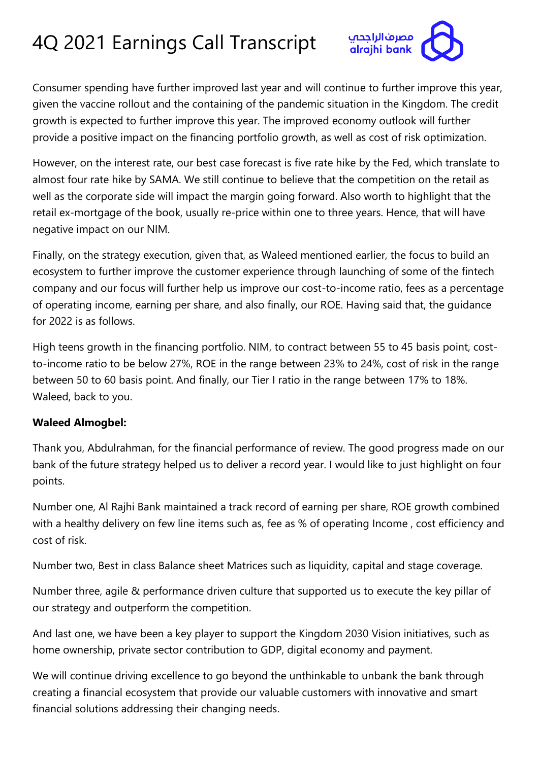

Consumer spending have further improved last year and will continue to further improve this year, given the vaccine rollout and the containing of the pandemic situation in the Kingdom. The credit growth is expected to further improve this year. The improved economy outlook will further provide a positive impact on the financing portfolio growth, as well as cost of risk optimization.

However, on the interest rate, our best case forecast is five rate hike by the Fed, which translate to almost four rate hike by SAMA. We still continue to believe that the competition on the retail as well as the corporate side will impact the margin going forward. Also worth to highlight that the retail ex-mortgage of the book, usually re-price within one to three years. Hence, that will have negative impact on our NIM.

Finally, on the strategy execution, given that, as Waleed mentioned earlier, the focus to build an ecosystem to further improve the customer experience through launching of some of the fintech company and our focus will further help us improve our cost-to-income ratio, fees as a percentage of operating income, earning per share, and also finally, our ROE. Having said that, the guidance for 2022 is as follows.

High teens growth in the financing portfolio. NIM, to contract between 55 to 45 basis point, costto-income ratio to be below 27%, ROE in the range between 23% to 24%, cost of risk in the range between 50 to 60 basis point. And finally, our Tier I ratio in the range between 17% to 18%. Waleed, back to you.

#### **Waleed Almogbel:**

Thank you, Abdulrahman, for the financial performance of review. The good progress made on our bank of the future strategy helped us to deliver a record year. I would like to just highlight on four points.

Number one, Al Rajhi Bank maintained a track record of earning per share, ROE growth combined with a healthy delivery on few line items such as, fee as % of operating Income, cost efficiency and cost of risk.

Number two, Best in class Balance sheet Matrices such as liquidity, capital and stage coverage.

Number three, agile & performance driven culture that supported us to execute the key pillar of our strategy and outperform the competition.

And last one, we have been a key player to support the Kingdom 2030 Vision initiatives, such as home ownership, private sector contribution to GDP, digital economy and payment.

We will continue driving excellence to go beyond the unthinkable to unbank the bank through creating a financial ecosystem that provide our valuable customers with innovative and smart financial solutions addressing their changing needs.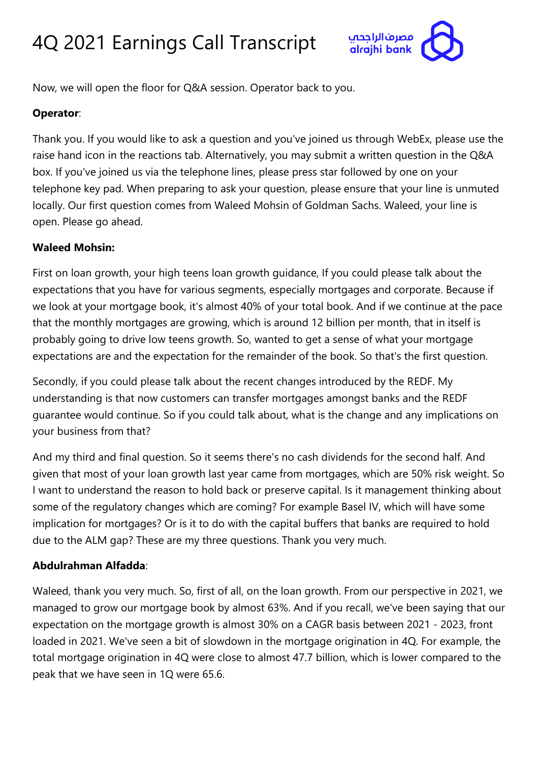

Now, we will open the floor for Q&A session. Operator back to you.

#### **Operator**:

Thank you. If you would like to ask a question and you've joined us through WebEx, please use the raise hand icon in the reactions tab. Alternatively, you may submit a written question in the Q&A box. If you've joined us via the telephone lines, please press star followed by one on your telephone key pad. When preparing to ask your question, please ensure that your line is unmuted locally. Our first question comes from Waleed Mohsin of Goldman Sachs. Waleed, your line is open. Please go ahead.

#### **Waleed Mohsin:**

First on loan growth, your high teens loan growth guidance, If you could please talk about the expectations that you have for various segments, especially mortgages and corporate. Because if we look at your mortgage book, it's almost 40% of your total book. And if we continue at the pace that the monthly mortgages are growing, which is around 12 billion per month, that in itself is probably going to drive low teens growth. So, wanted to get a sense of what your mortgage expectations are and the expectation for the remainder of the book. So that's the first question.

Secondly, if you could please talk about the recent changes introduced by the REDF. My understanding is that now customers can transfer mortgages amongst banks and the REDF guarantee would continue. So if you could talk about, what is the change and any implications on your business from that?

And my third and final question. So it seems there's no cash dividends for the second half. And given that most of your loan growth last year came from mortgages, which are 50% risk weight. So I want to understand the reason to hold back or preserve capital. Is it management thinking about some of the regulatory changes which are coming? For example Basel IV, which will have some implication for mortgages? Or is it to do with the capital buffers that banks are required to hold due to the ALM gap? These are my three questions. Thank you very much.

#### **Abdulrahman Alfadda**:

Waleed, thank you very much. So, first of all, on the loan growth. From our perspective in 2021, we managed to grow our mortgage book by almost 63%. And if you recall, we've been saying that our expectation on the mortgage growth is almost 30% on a CAGR basis between 2021 - 2023, front loaded in 2021. We've seen a bit of slowdown in the mortgage origination in 4Q. For example, the total mortgage origination in 4Q were close to almost 47.7 billion, which is lower compared to the peak that we have seen in 1Q were 65.6.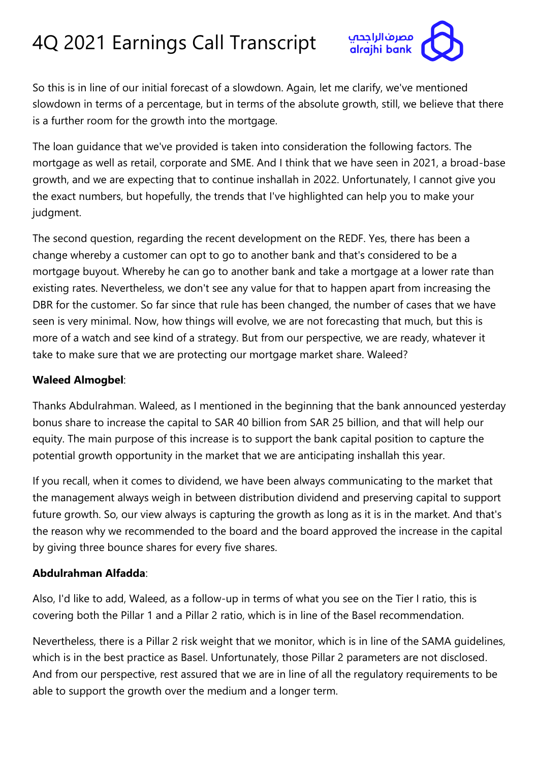

So this is in line of our initial forecast of a slowdown. Again, let me clarify, we've mentioned slowdown in terms of a percentage, but in terms of the absolute growth, still, we believe that there is a further room for the growth into the mortgage.

The loan guidance that we've provided is taken into consideration the following factors. The mortgage as well as retail, corporate and SME. And I think that we have seen in 2021, a broad-base growth, and we are expecting that to continue inshallah in 2022. Unfortunately, I cannot give you the exact numbers, but hopefully, the trends that I've highlighted can help you to make your judgment.

The second question, regarding the recent development on the REDF. Yes, there has been a change whereby a customer can opt to go to another bank and that's considered to be a mortgage buyout. Whereby he can go to another bank and take a mortgage at a lower rate than existing rates. Nevertheless, we don't see any value for that to happen apart from increasing the DBR for the customer. So far since that rule has been changed, the number of cases that we have seen is very minimal. Now, how things will evolve, we are not forecasting that much, but this is more of a watch and see kind of a strategy. But from our perspective, we are ready, whatever it take to make sure that we are protecting our mortgage market share. Waleed?

#### **Waleed Almogbel**:

Thanks Abdulrahman. Waleed, as I mentioned in the beginning that the bank announced yesterday bonus share to increase the capital to SAR 40 billion from SAR 25 billion, and that will help our equity. The main purpose of this increase is to support the bank capital position to capture the potential growth opportunity in the market that we are anticipating inshallah this year.

If you recall, when it comes to dividend, we have been always communicating to the market that the management always weigh in between distribution dividend and preserving capital to support future growth. So, our view always is capturing the growth as long as it is in the market. And that's the reason why we recommended to the board and the board approved the increase in the capital by giving three bounce shares for every five shares.

#### **Abdulrahman Alfadda**:

Also, I'd like to add, Waleed, as a follow-up in terms of what you see on the Tier I ratio, this is covering both the Pillar 1 and a Pillar 2 ratio, which is in line of the Basel recommendation.

Nevertheless, there is a Pillar 2 risk weight that we monitor, which is in line of the SAMA guidelines, which is in the best practice as Basel. Unfortunately, those Pillar 2 parameters are not disclosed. And from our perspective, rest assured that we are in line of all the regulatory requirements to be able to support the growth over the medium and a longer term.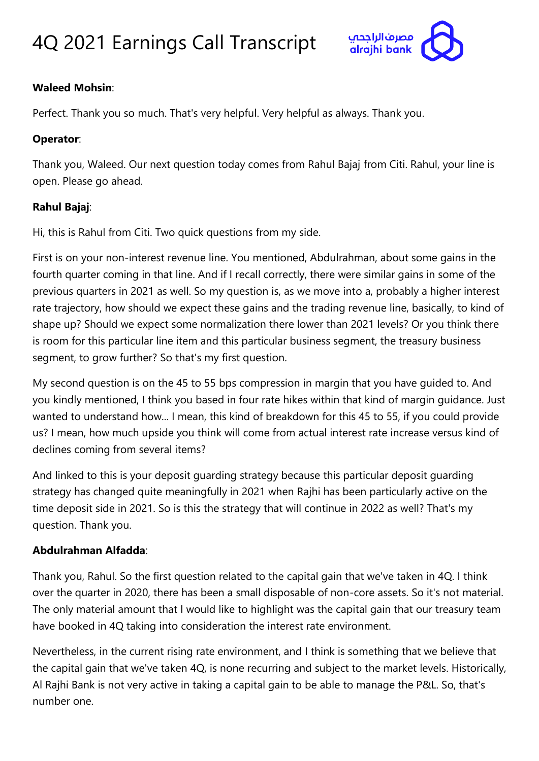

#### **Waleed Mohsin**:

Perfect. Thank you so much. That's very helpful. Very helpful as always. Thank you.

#### **Operator**:

Thank you, Waleed. Our next question today comes from Rahul Bajaj from Citi. Rahul, your line is open. Please go ahead.

#### **Rahul Bajaj**:

Hi, this is Rahul from Citi. Two quick questions from my side.

First is on your non-interest revenue line. You mentioned, Abdulrahman, about some gains in the fourth quarter coming in that line. And if I recall correctly, there were similar gains in some of the previous quarters in 2021 as well. So my question is, as we move into a, probably a higher interest rate trajectory, how should we expect these gains and the trading revenue line, basically, to kind of shape up? Should we expect some normalization there lower than 2021 levels? Or you think there is room for this particular line item and this particular business segment, the treasury business segment, to grow further? So that's my first question.

My second question is on the 45 to 55 bps compression in margin that you have guided to. And you kindly mentioned, I think you based in four rate hikes within that kind of margin guidance. Just wanted to understand how... I mean, this kind of breakdown for this 45 to 55, if you could provide us? I mean, how much upside you think will come from actual interest rate increase versus kind of declines coming from several items?

And linked to this is your deposit guarding strategy because this particular deposit guarding strategy has changed quite meaningfully in 2021 when Rajhi has been particularly active on the time deposit side in 2021. So is this the strategy that will continue in 2022 as well? That's my question. Thank you.

#### **Abdulrahman Alfadda**:

Thank you, Rahul. So the first question related to the capital gain that we've taken in 4Q. I think over the quarter in 2020, there has been a small disposable of non-core assets. So it's not material. The only material amount that I would like to highlight was the capital gain that our treasury team have booked in 4Q taking into consideration the interest rate environment.

Nevertheless, in the current rising rate environment, and I think is something that we believe that the capital gain that we've taken 4Q, is none recurring and subject to the market levels. Historically, Al Rajhi Bank is not very active in taking a capital gain to be able to manage the P&L. So, that's number one.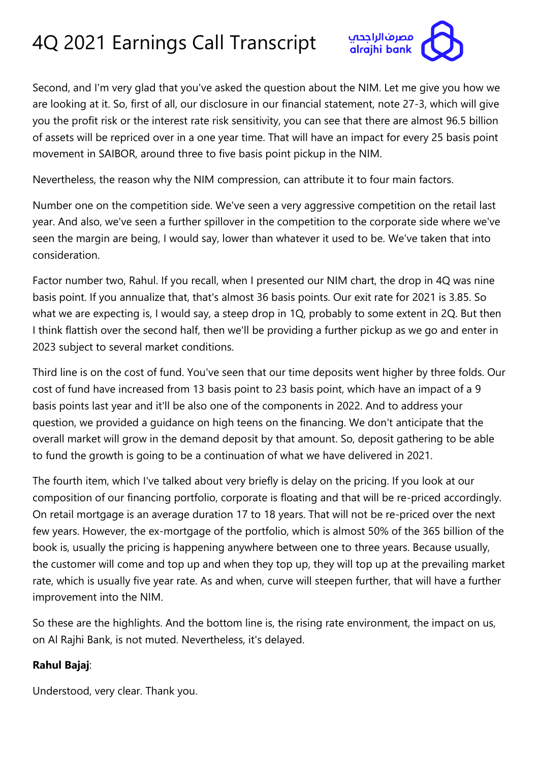

Second, and I'm very glad that you've asked the question about the NIM. Let me give you how we are looking at it. So, first of all, our disclosure in our financial statement, note 27-3, which will give you the profit risk or the interest rate risk sensitivity, you can see that there are almost 96.5 billion of assets will be repriced over in a one year time. That will have an impact for every 25 basis point movement in SAIBOR, around three to five basis point pickup in the NIM.

Nevertheless, the reason why the NIM compression, can attribute it to four main factors.

Number one on the competition side. We've seen a very aggressive competition on the retail last year. And also, we've seen a further spillover in the competition to the corporate side where we've seen the margin are being, I would say, lower than whatever it used to be. We've taken that into consideration.

Factor number two, Rahul. If you recall, when I presented our NIM chart, the drop in 4Q was nine basis point. If you annualize that, that's almost 36 basis points. Our exit rate for 2021 is 3.85. So what we are expecting is, I would say, a steep drop in 1Q, probably to some extent in 2Q. But then I think flattish over the second half, then we'll be providing a further pickup as we go and enter in 2023 subject to several market conditions.

Third line is on the cost of fund. You've seen that our time deposits went higher by three folds. Our cost of fund have increased from 13 basis point to 23 basis point, which have an impact of a 9 basis points last year and it'll be also one of the components in 2022. And to address your question, we provided a guidance on high teens on the financing. We don't anticipate that the overall market will grow in the demand deposit by that amount. So, deposit gathering to be able to fund the growth is going to be a continuation of what we have delivered in 2021.

The fourth item, which I've talked about very briefly is delay on the pricing. If you look at our composition of our financing portfolio, corporate is floating and that will be re-priced accordingly. On retail mortgage is an average duration 17 to 18 years. That will not be re-priced over the next few years. However, the ex-mortgage of the portfolio, which is almost 50% of the 365 billion of the book is, usually the pricing is happening anywhere between one to three years. Because usually, the customer will come and top up and when they top up, they will top up at the prevailing market rate, which is usually five year rate. As and when, curve will steepen further, that will have a further improvement into the NIM.

So these are the highlights. And the bottom line is, the rising rate environment, the impact on us, on Al Rajhi Bank, is not muted. Nevertheless, it's delayed.

#### **Rahul Bajaj**:

Understood, very clear. Thank you.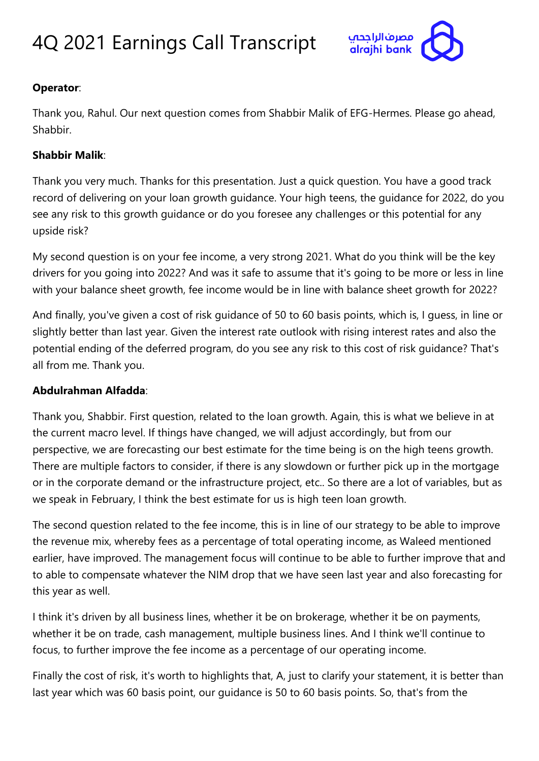

#### **Operator**:

Thank you, Rahul. Our next question comes from Shabbir Malik of EFG-Hermes. Please go ahead, Shabbir.

#### **Shabbir Malik**:

Thank you very much. Thanks for this presentation. Just a quick question. You have a good track record of delivering on your loan growth guidance. Your high teens, the guidance for 2022, do you see any risk to this growth guidance or do you foresee any challenges or this potential for any upside risk?

My second question is on your fee income, a very strong 2021. What do you think will be the key drivers for you going into 2022? And was it safe to assume that it's going to be more or less in line with your balance sheet growth, fee income would be in line with balance sheet growth for 2022?

And finally, you've given a cost of risk guidance of 50 to 60 basis points, which is, I guess, in line or slightly better than last year. Given the interest rate outlook with rising interest rates and also the potential ending of the deferred program, do you see any risk to this cost of risk guidance? That's all from me. Thank you.

#### **Abdulrahman Alfadda**:

Thank you, Shabbir. First question, related to the loan growth. Again, this is what we believe in at the current macro level. If things have changed, we will adjust accordingly, but from our perspective, we are forecasting our best estimate for the time being is on the high teens growth. There are multiple factors to consider, if there is any slowdown or further pick up in the mortgage or in the corporate demand or the infrastructure project, etc.. So there are a lot of variables, but as we speak in February, I think the best estimate for us is high teen loan growth.

The second question related to the fee income, this is in line of our strategy to be able to improve the revenue mix, whereby fees as a percentage of total operating income, as Waleed mentioned earlier, have improved. The management focus will continue to be able to further improve that and to able to compensate whatever the NIM drop that we have seen last year and also forecasting for this year as well.

I think it's driven by all business lines, whether it be on brokerage, whether it be on payments, whether it be on trade, cash management, multiple business lines. And I think we'll continue to focus, to further improve the fee income as a percentage of our operating income.

Finally the cost of risk, it's worth to highlights that, A, just to clarify your statement, it is better than last year which was 60 basis point, our guidance is 50 to 60 basis points. So, that's from the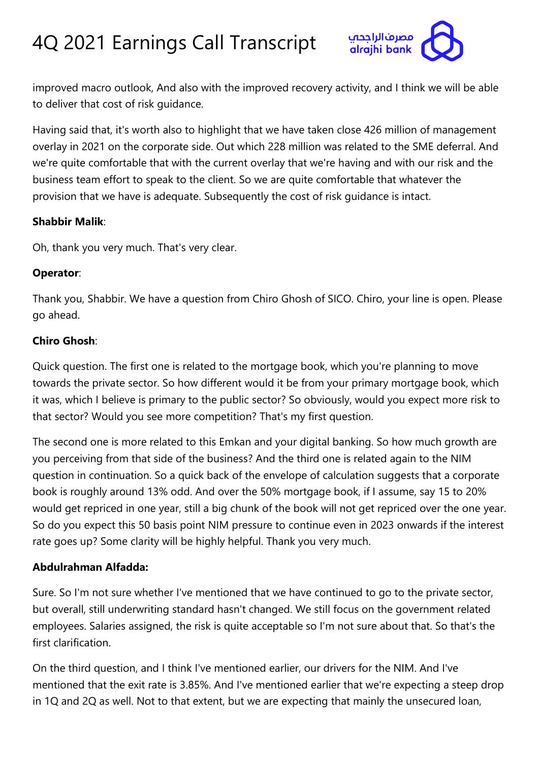

improved macro outlook, And also with the improved recovery activity, and I think we will be able to deliver that cost of risk guidance.

Having said that, it's worth also to highlight that we have taken close 426 million of management overlay in 2021 on the corporate side. Out which 228 million was related to the SME deferral. And we're quite comfortable that with the current overlay that we're having and with our risk and the business team effort to speak to the client. So we are quite comfortable that whatever the provision that we have is adequate. Subsequently the cost of risk guidance is intact.

#### **Shabbir Malik**:

Oh, thank you very much. That's very clear.

#### **Operator**:

Thank you, Shabbir. We have a question from Chiro Ghosh of SICO. Chiro, your line is open. Please go ahead.

#### **Chiro Ghosh**:

Quick question. The first one is related to the mortgage book, which you're planning to move towards the private sector. So how different would it be from your primary mortgage book, which it was, which I believe is primary to the public sector? So obviously, would you expect more risk to that sector? Would you see more competition? That's my first question.

The second one is more related to this Emkan and your digital banking. So how much growth are you perceiving from that side of the business? And the third one is related again to the NIM question in continuation. So a quick back of the envelope of calculation suggests that a corporate book is roughly around 13% odd. And over the 50% mortgage book, if I assume, say 15 to 20% would get repriced in one year, still a big chunk of the book will not get repriced over the one year. So do you expect this 50 basis point NIM pressure to continue even in 2023 onwards if the interest rate goes up? Some clarity will be highly helpful. Thank you very much.

#### **Abdulrahman Alfadda:**

Sure. So I'm not sure whether I've mentioned that we have continued to go to the private sector, but overall, still underwriting standard hasn't changed. We still focus on the government related employees. Salaries assigned, the risk is quite acceptable so I'm not sure about that. So that's the first clarification.

On the third question, and I think I've mentioned earlier, our drivers for the NIM. And I've mentioned that the exit rate is 3.85%. And I've mentioned earlier that we're expecting a steep drop in 1Q and 2Q as well. Not to that extent, but we are expecting that mainly the unsecured loan,